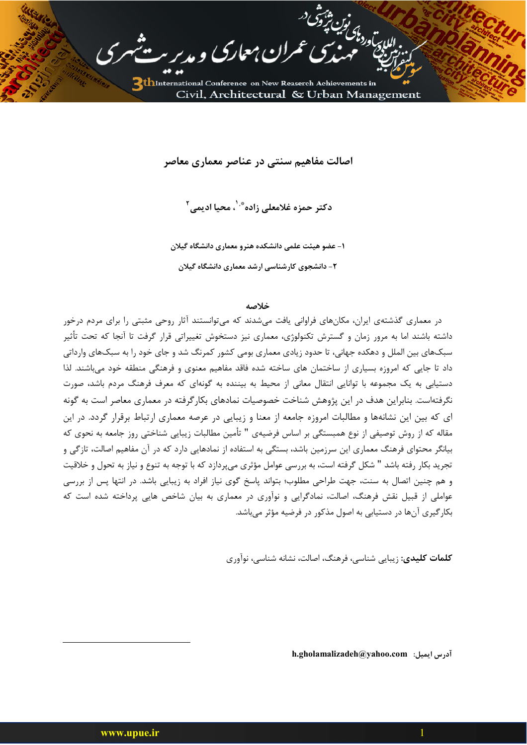

اصالت مفاهیم سنتی در عناصر معماری معاصر

دکتر حمزہ غلامعلے زادہ ؓ '، محیا ادیمے ِ <sup>۲</sup>

۱– عضو هیئت علمی دانشکده هنرو معماری دانشگاه گیلان ۲- دانشجوی کارشناسی ارشد معماری دانشگاه گیلان

خلاصه

در معماری گذشتهی ایران، مکانهای فراوانی یافت می شدند که می توانستند آثار روحی مثبتی را برای مردم درخور داشته باشند اما به مرور زمان و گسترش تکنولوژی، معماری نیز دستخوش تغییراتی قرار گرفت تا آنجا که تحت تأثیر سبکهای بین الملل و دهکده جهانی، تا حدود زیادی معماری بومی کشور کمرنگ شد و جای خود را به سبکهای وارداتی داد تا جایی که امروزه بسیاری از ساختمان های ساخته شده فاقد مفاهیم معنوی و فرهنگی منطقه خود میباشند. لذا دستیابی به یک مجموعه با توانایی انتقال معانی از محیط به بیننده به گونهای که معرف فرهنگ مردم باشد، صورت نگرفتهاست. بنابراین هدف در این پژوهش شناخت خصوصیات نمادهای بکار گرفته در معماری معاصر است به گونه ای که بین این نشانهها و مطالبات امروزه جامعه از معنا و زیبایی در عرصه معماری ارتباط برقرار گردد. در این مقاله که از روش توصیفی از نوع همبستگی بر اساس فرضیهی " تأمین مطالبات زیبایی شناختی روز جامعه به نحوی که بیانگر محتوای فرهنگ معماری این سرزمین باشد، بستگی به استفاده از نمادهایی دارد که در آن مفاهیم اصالت، تازگی و تجرید بکار رفته باشد " شکل گرفته است، به بررسی عوامل مؤثری میپردازد که با توجه به تنوع و نیاز به تحول و خلاقیت و هم چنین اتصال به سنت، جهت طراحی مطلوب؛ بتواند پاسخ گوی نیاز افراد به زیبایی باشد. در انتها پس از بررسی عواملی از قبیل نقش فرهنگ، اصالت، نمادگرایی و نوآوری در معماری به بیان شاخص هایی پرداخته شده است که بکار گیری آنها در دستیابی به اصول مذکور در فرضیه مؤثر می باشد.

**کلمات کلیدی**: زیبایی شناسی، فرهنگ، اصالت، نشانه شناسی، نوآوری

h.gholamalizadeh@yahoo.com :أدرس ايميل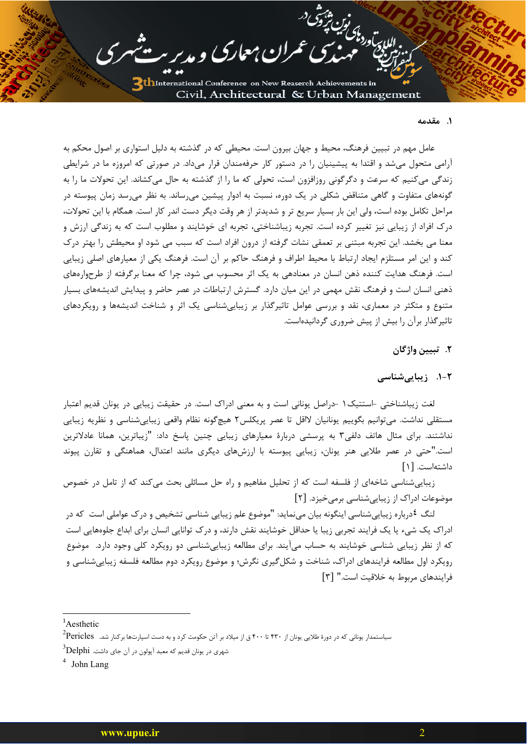د،معارک و مدیر

للارتوردارات شوق<br>اللارتوردارات

#### ١. مقدمه

عامل مهم در تبیین فرهنگ، محیط و جهان بیرون است. محیطی که در گذشته به دلیل استواری بر اصول محکم به آرامی متحول میشد و اقتدا به پیشینیان را در دستور کار حرفهمندان قرار میداد. در صورتی که امروزه ما در شرایطی زندگی میکنیم که سرعت و دگرگونی روزافزون است، تحولی که ما را از گذشته به حال می کشاند. این تحولات ما را به گونههای متفاوت و گاهی متناقض شکلی در یک دوره، نسبت به ادوار پیشین میرساند. به نظر میرسد زمان پیوسته در مراحل تکامل بوده است، ولی این بار بسیار سریع تر و شدیدتر از هر وقت دیگر دست اندر کار است. همگام با این تحولات، درک افراد از زیبایی نیز تغییر کرده است. تجربه زیباشناختی، تجربه ای خوشایند و مطلوب است که به زندگی ارزش و معنا می بخشد. این تجربه مبتنی بر تعمقی نشات گرفته از درون افراد است که سبب می شود او محیطش را بهتر درک کند و این امر مستلزم ایجاد ارتباط با محیط اطراف و فرهنگ حاکم بر آن است. فرهنگ یکی از معیارهای اصلی زیبایی است. فرهنگ هدایت کننده ذهن انسان در معنادهی به یک اثر محسوب می شود، چرا که معنا برگرفته از طرحوارههای ذهنی انسان است و فرهنگ نقش مهمی در این میان دارد. گسترش ارتباطات در عصر حاضر و پیدایش اندیشههای بسیار متنوع و متکثر در معماری، نقد و بررسی عوامل تاثیرگذار بر زیبایی شناسی یک اثر و شناخت اندیشهها و رویکردهای تاثیر گذار برآن را بیش از پیش ضروری گردانیدهاست.

## ٢. تبيين واژگان

## ٢-١. زيبايي شناسي

لغت زیباشناختی -استتیک ۱ -دراصل یونانی است و به معنی ادراک است. در حقیقت زیبایی در یونان قدیم اعتبار مستقلی نداشت. میتوانیم بگوییم یونانیان لااقل تا عصر پریکلس۲ هیچگونه نظام واقعی زیباییشناسی و نظریه زیبایی نداشتند. برای مثال هاتف دلفی۳ به پرسشی دربارهٔ معیارهای زیبایی چنین پاسخ داد: "زیباترین، همانا عادلاترین است."حتی در عصر طلایی هنر یونان، زیبایی پیوسته با ارزشهای دیگری مانند اعتدال، هماهنگی و تقارن پیوند داشتهاست. [۱]

زیبایی شناسی شاخهای از فلسفه است که از تحلیل مفاهیم و راه حل مسائلی بحث می کند که از تامل در خصوص موضوعات ادراک از زیبایی شناسی برمی خیزد. [۲]

لنگ <sup>٤</sup>درباره زیباییشناسی اینگونه بیان مینماید: "موضوع علم زیبایی شناسی تشخیص و درک عواملی است که در ادراک یک شیء یا یک فرایند تجربی زیبا یا حداقل خوشایند نقش دارند، و درک توانایی انسان برای ابداع جلوههایی است که از نظر زیبایی شناسی خوشایند به حساب میآیند. برای مطالعه زیباییشناسی دو رویکرد کلی وجود دارد. موضوع رویکرد اول مطالعه فرایندهای ادراک، شناخت و شکل گیری نگرش؛ و موضوع رویکرد دوم مطالعه فلسفه زیباییشناسی و فرایندهای مربوط به خلاقیت است." [۳]

 $4$  John Lang

 $A$ esthetic

سیاستمدار یونانی که در دورهٔ طلایی یونان از ۴۲۰ تا ۴۰۰ ق از میلاد بر آتن حکومت کرد و به دست اسپارتها برکنار شد. Pericles

شهری در یونان قدیم که معبد آپولون در آن جای داشت.  $^3$ Delphi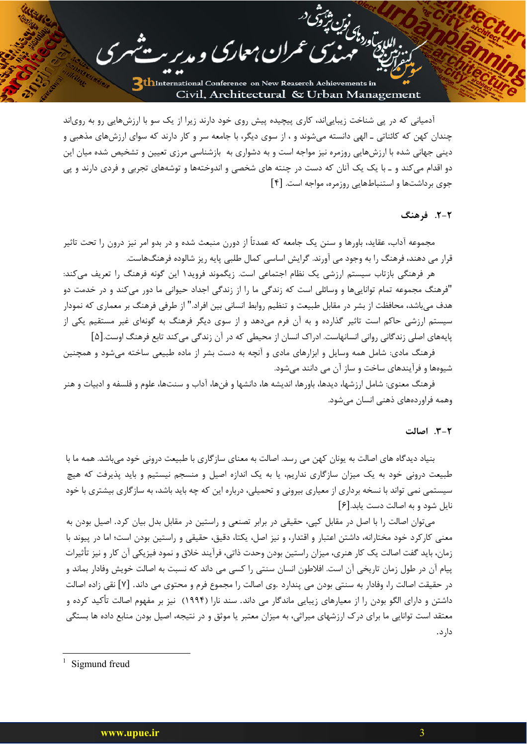للإبراد دامى لولينا

آدمیانی که در پی شناخت زیبایی|ند، کاری پیچیده پیش روی خود دارند زیرا از یک سو با ارزشهایی رو به روی|ند چندان کهن که کائناتی ـ الهی دانسته میشوند و ، از سوی دیگر، با جامعه سر و کار دارند که سوای ارزشهای مذهبی و دینی جهانی شده با ارزشهایی روزمره نیز مواجه است و به دشواری به بازشناسی مرزی تعیین و تشخیص شده میان این دو اقدام میکند و ـ با یک یک آنان که دست در چنته های شخصی و اندوختهها و توشههای تجربی و فردی دارند و پی جوی برداشتها و استنباطهایی روزمره، مواجه است. [۴]

ران معاری و مدیر

### ٢-٢. فرهنگ

مجموعه آداب، عقاید، باورها و سنن یک جامعه که عمدتاً از دورن منبعث شده و در بدو امر نیز درون را تحت تاثیر قرار می دهند، فرهنگ را به وجود می آورند. گرایش اساسی کمال طلبی پایه ریز شالوده فرهنگهاست.

هر فرهنگی بازتاب سیستم ارزشی یک نظام اجتماعی است. زیگموند فروید۱ این گونه فرهنگ را تعریف میکند: "فرهنگ مجموعه تمام تواناییها و وسائلی است که زندگی ما را از زندگی اجداد حیوانی ما دور می کند و در خدمت دو هدف می باشد، محافظت از بشر در مقابل طبیعت و تنظیم روابط انسانی بین افراد." از طرفی فرهنگ بر معماری که نمودار سیستم ارزشی حاکم است تاثیر گذارده و به آن فرم میدهد و از سوی دیگر فرهنگ به گونهای غیر مستقیم یکی از پایههای اصلی زندگانی روانی انسانهاست. ادراک انسان از محیطی که در آن زندگی می کند تابع فرهنگ اوست.[۵]

فرهنگ مادی: شامل همه وسایل و ابزارهای مادی و آنچه به دست بشر از ماده طبیعی ساخته میشود و همچنین شیوهها و فرآیندهای ساخت و ساز آن می دانند میشود.

فرهنگ معنوی: شامل ارزشها، دیدها، باورها، اندیشه ها، دانشها و فنها، آداب و سنتها، علوم و فلسفه و ادبیات و هنر وهمه فراوردههای ذهنی انسان میشود.

#### ٢-٣. اصالت

بنیاد دیدگاه های اصالت به یونان کهن می رسد. اصالت به معنای سازگاری با طبیعت درونی خود می باشد. همه ما با طبیعت درونی خود به یک میزان سازگاری نداریم، یا به یک اندازه اصیل و منسجم نیستیم و باید پذیرفت که هیچ سیستمی نمی تواند با نسخه برداری از معیاری بیرونی و تحمیلی، درباره این که چه باید باشد، به سازگاری بیشتری با خود نایل شود و به اصالت دست یابد.[۶]

می توان اصالت را با اصل در مقابل کیی، حقیقی در برابر تصنعی و راستین در مقابل بدل بیان کرد. اصیل بودن به معنی کارکرد خود مختارانه، داشتن اعتبار و اقتدار، و نیز اصل، یکتا، دقیق، حقیقی و راستین بودن است؛ اما در پیوند با زمان، بايد گفت اصالت يک کار هنري، ميزان راستين بودن وحدت ذاتي، فرآيند خلاق و نمود فيزيکي آن کار و نيز تأثيرات پیام آن در طول زمان تاریخی آن است. افلاطون انسان سنتی را کسی می داند که نسبت به اصالت خویش وفادار بماند و در حقيقت اصالت را، وفادار به سنتي بودن مي پندارد .وي اصالت را مجموع فرم و محتوى مي داند. [۷] نقي زاده اصالت داشتن و دارای الگو بودن را از معیارهای زیبایی ماندگار می داند. سند نارا (۱۹۹۴) نیز بر مفهوم اصالت تأکید کرده و معتقد است توانایی ما برای درک ارزشهای میراثی، به میزان معتبر یا موثق و در نتیجه، اصیل بودن منابع داده ها بستگی دار د.

 $1$  Sigmund freud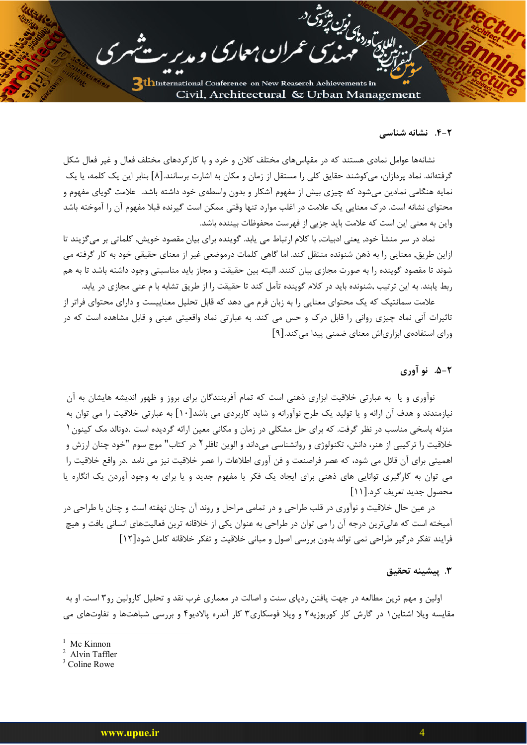للإدارية والمائين شرق<br>للإدارية

### ۴-۲. نشانه شناسی

نشانهها عوامل نمادی هستند که در مقیاسهای مختلف کلان و خرد و با کارکردهای مختلف فعال و غیر فعال شکل گرفتهاند. نماد پردازان، می کوشند حقایق کلی را مستقل از زمان و مکان به اشارت برسانند.[۸] بنابر این یک کلمه، یا یک نمایه هنگامی نمادین میشود که چیزی بیش از مفهوم آشکار و بدون واسطهی خود داشته باشد. علامت گویای مفهوم و محتواي نشانه است. درک معنايي يک علامت در اغلب موارد تنها وقتي ممکن است گيرنده قبلا مفهوم آن را آموخته باشد واین به معنی این است که علامت باید جزیی از فهرست محفوظات بیننده باشد.

<u>ن معارک</u> و مدیر

نماد در سر منشآ خود, یعنی ادبیات, با کلام ارتباط می یابد. گوینده برای بیان مقصود خویش, کلماتی بر میگزیند تا ازاین طریق, معنایی را به ذهن شنونده منتقل کند. اما گاهی کلمات درموضعی غیر از معنای حقیقی خود به کار گرفته می شوند تا مقصود گوینده را به صورت مجازی بیان کنند. البته بین حقیقت و مجاز باید مناسبتی وجود داشته باشد تا به هم ربط یابند. به این ترتیب ,شنونده باید در کلام گوینده تآمل کند تا حقیقت را از طریق تشابه با م عنی مجازی در یابد.

علامت سمانتیک که یک محتوای معنایی را به زبان فرم می دهد که قابل تحلیل معناییست و دارای محتوای فراتر از تاثیرات آنی نماد چیزی روانی را قابل درک و حس می کند. به عبارتی نماد واقعیتی عینی و قابل مشاهده است که در ورای استفادهی ابزاریاش معنای ضمنی پیدا می کند.[۹]

# **۲-۵. نو آوري**

نوآوری و یا به عبارتی خلاقیت ابزاری ذهنی است که تمام آفرینندگان برای بروز و ظهور اندیشه هایشان به آن نیازمندند و هدف آن ارائه و یا تولید یک طرح نوآورانه و شاید کاربردی می باشد[۱۰] به عبارتی خلاقیت را می توان به منزله یاسخی مناسب در نظر گرفت. که برای حل مشکلی در زمان و مکانی معین ارائه گردیده است .دونالد مک کینون ۱ خلاقیت را ترکیبی از هنر، دانش، تکنولوژی و روانشناسی میداند و الوین تافلر ۲ در کتاب" موج سوم "خود چنان ارزش و اهميتي براي آن قائل مي شود، كه عصر فراصنعت و فن آوري اطلاعات را عصر خلاقيت نيز مي نامد .در واقع خلاقيت را می توان به کارگیری توانایی های ذهنی برای ایجاد یک فکر یا مفهوم جدید و یا برای به وجود آوردن یک انگاره یا محصول جدید تعریف کرد.[۱۱]

در عین حال خلاقیت و نوآوری در قلب طراحی و در تمامی مراحل و روند آن چنان نهفته است و چنان با طراحی در آمیخته است که عالیترین درجه آن را می توان در طراحی به عنوان یکی از خلاقانه ترین فعالیتهای انسانی یافت و هیچ فرایند تفکر درگیر طراحی نمی تواند بدون بررسی اصول و مبانی خلاقیت و تفکر خلاقانه کامل شود[۱۲]

### ٣. ييشينه تحقيق

اولین و مهم ترین مطالعه در جهت یافتن ردیای سنت و اصالت در معماری غرب نقد و تحلیل کارولین رو۳ است. او به مقایسه ویلا اشتاین ۱ در گارش کار کوربوزیه۲ و ویلا فوسکاری۳ کار آندره پالادیو۴ و بررسی شباهتها و تفاوتهای می

Mc Kinnon

<sup>&</sup>lt;sup>2</sup> Alvin Taffler

 $3$  Coline Rowe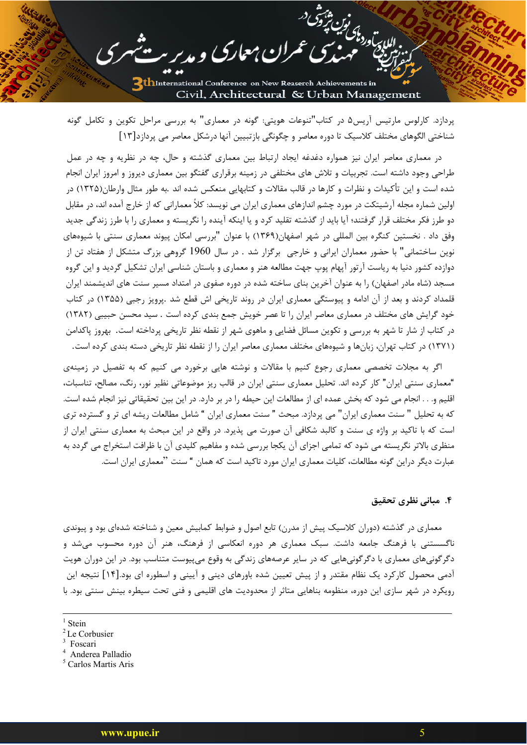اللارس<br>اللارساور ذاكر فين من توق<br>المددي

پردازد. کارلوس مارتیس آریس۵ در کتاب"تنوعات هویتی: گونه در معماری" به بررسی مراحل تکوین و تکامل گونه شناختی الگوهای مختلف کلاسیک تا دوره معاصر و چگونگی بازتبیین آنها درشکل معاصر می پردازد[۱۳]

میںمعارک و مدیر ک

در معماری معاصر ایران نیز همواره دغدغه ایجاد ارتباط بین معماری گذشته و حال، چه در نظریه و چه در عمل طراحی وجود داشته است. تجربیات و تلاش های مختلفی در زمینه برقراری گفتگو بین معماری دیروز و امروز ایران انجام شده است و این تأکیدات و نظرات و کارها در قالب مقالات و کتابهایی منعکس شده اند .به طور مثال وارطان(۱۳۲۵) در اولین شماره مجله آرشیتکت در مورد چشم اندازهای معماری ایران می نویسد: کلاً معمارانی که از خارج آمده اند، در مقابل دو طرز فکر مختلف قرار گرفتند؛ آیا باید از گذشته تقلید کرد و یا اینکه آینده را نگریسته و معماری را با طرز زندگی جدید وفق داد . نخستین کنگره بین المللی در شهر اصفهان(۱۳۶۹) با عنوان "بررسی امکان پیوند معماری سنتی با شیوههای نوین ساختمانی" با حضور معماران ایرانی و خارجی برگزار شد . در سال 1960 گروهی بزرگ متشکل از هفتاد تن از دوازده کشور دنیا به ریاست آرتور آپهام پوپ جهت مطالعه هنر و معماری و باستان شناسی ایران تشکیل گردید و این گروه مسجد (شاه مادر اصفهان) را به عنوان آخرین بنای ساخته شده در دوره صفوی در امتداد مسیر سنت های اندیشمند ایران قلمداد کردند و بعد از آن ادامه و پیوستگی معماری ایران در روند تاریخی اش قطع شد .پرویز رجبی (۱۳۵۵) در کتاب خود گرایش های مختلف در معماری معاصر ایران را تا عصر خویش جمع بندی کرده است . سید محسن حبیبی (۱۳۸۲) در کتاب از شار تا شهر به بررسی و تکوین مسائل فضایی و ماهوی شهر از نقطه نظر تاریخی پرداخته است. بهروز پاکدامن (۱۳۷۱) در کتاب تهران، زبانها و شیوههای مختلف معماری معاصر ایران را از نقطه نظر تاریخی دسته بندی کرده است.

اگر به مجلات تخصصی معماری رجوع کنیم با مقالات و نوشته هایی برخورد می کنیم که به تفصیل در زمینهی "معماری سنتی ایران" کار کرده اند. تحلیل معماری سنتی ایران در قالب ریز موضوعاتی نظیر نور، رنگ، مصالح، تناسبات، اقلیم و. . . انجام می شود که بخش عمده ای از مطالعات این حیطه را در بر دارد. در این بین تحقیقاتی نیز انجام شده است. که به تحلیل " سنت معماری ایران" می پردازد. مبحث " سنت معماری ایران " شامل مطالعات ریشه ای تر و گسترده تری است که با تاکید بر واژه ی سنت و کالبد شکافی آن صورت می پذیرد. در واقع در این مبحث به معماری سنتی ایران از منظری بالاتر نگریسته می شود که تمامی اجزای آن یکجا بررسی شده و مفاهیم کلیدی آن با ظرافت استخراج می گردد به عبارت دیگر دراین گونه مطالعات، کلیات معماری ایران مورد تاکید است که همان " سنت "معماری ایران است.

۴. مبانی نظری تحقیق

معماری در گذشته (دوران کلاسیک پیش از مدرن) تابع اصول و ضوابط کمابیش معین و شناخته شدهای بود و پیوندی ناگسستنی با فرهنگ جامعه داشت. سبک معماری هر دوره انعکاسی از فرهنگ، هنر آن دوره محسوب میشد و دگرگونیهای معماری با دگرگونیهایی که در سایر عرصههای زندگی به وقوع میپیوست متناسب بود. در این دوران هویت آدمی محصول کارکرد یک نظام مقتدر و از پیش تعیین شده باورهای دینی و آیینی و اسطوره ای بود.[۱۴] نتیجه این رویکرد در شهر سازی این دوره، منظومه بناهایی متاثر از محدودیت های اقلیمی و فنی تحت سیطره بینش سنتی بود. با

- <sup>4</sup> Anderea Palladio
- <sup>5</sup> Carlos Martis Aris

 $\frac{1}{1}$  Stein

 $2$  Le Corbusier

<sup>&</sup>lt;sup>3</sup> Foscari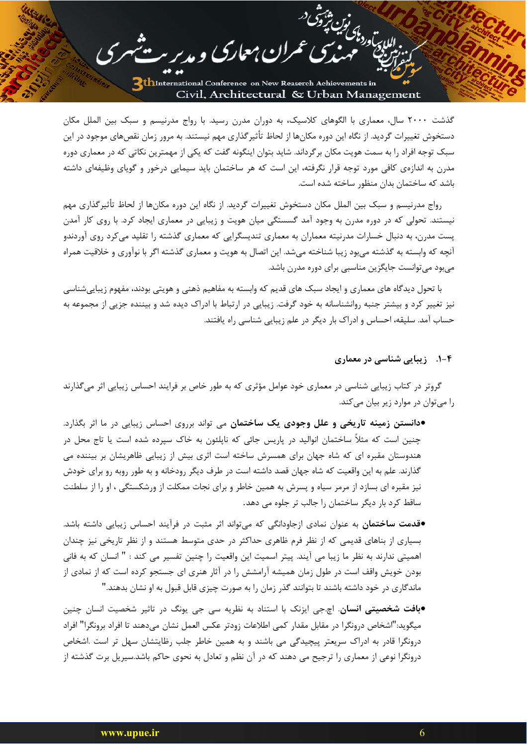للابر باوردا كولين بيزون

گذشت ۲۰۰۰ سال، معماری با الگوهای کلاسیک، به دوران مدرن رسید. با رواج مدرنیسم و سبک بین الملل مکان دستخوش تغییرات گردید. از نگاه این دوره مکانها از لحاظ تأثیرگذاری مهم نیستند. به مرور زمان نقصهای موجود در این سبک توجه افراد را به سمت هویت مکان برگرداند. شاید بتوان اینگونه گفت که یکی از مهمترین نکاتی که در معماری دوره مدرن به اندازهی کافی مورد توجه قرار نگرفته، این است که هر ساختمان باید سیمایی درخور و گویای وظیفهای داشته باشد که ساختمان بدان منظور ساخته شده است.

مران معاری و مدیر -

رواج مدرنیسم و سبک بین الملل مکان دستخوش تغییرات گردید. از نگاه این دوره مکانها از لحاظ تأثیرگذاری مهم نیستند. تحولی که در دوره مدرن به وجود آمد گسستگی میان هویت و زیبایی در معماری ایجاد کرد. با روی کار آمدن پست مدرن، به دنبال خسارات مدرنیته معماران به معماری تندیسگرایی که معماری گذشته را تقلید میکرد روی آوردندو آنچه که وابسته به گذشته می بود زیبا شناخته می شد. این اتصال به هویت و معماری گذشته اگر با نوآوری و خلاقیت همراه می بود می توانست جایگزین مناسبی برای دوره مدرن باشد.

با تحول دیدگاه های معماری و ایجاد سبک های قدیم که وابسته به مفاهیم ذهنی و هویتی بودند، مفهوم زیباییشناسی نیز تغییر کرد و بیشتر جنبه روانشناسانه به خود گرفت. زیبایی در ارتباط با ادراک دیده شد و بیننده جزیی از مجموعه به حساب آمد. سلیقه، احساس و ادراک بار دیگر در علم زیبایی شناسی راه یافتند.

## ۴-۱. زیبایی شناسی در معماری

گروتر در کتاب زیبایی شناسی در معماری خود عوامل مؤثری که به طور خاص بر فرایند احساس زیبایی اثر میگذارند را میتوان در موارد زیر بیان میکند.

•دانستن زمینه تاریخی و علل وجودی یک ساختمان می تواند برروی احساس زیبایی در ما اثر بگذارد. چنین است که مثلاً ساختمان انوالید در پاریس جائی که ناپلئون به خاک سپرده شده است یا تاج محل در هندوستان مقبره ای که شاه جهان برای همسرش ساخته است اثری بیش از زیبایی ظاهریشان بر بیننده می گذارند. علم به این واقعیت که شاه جهان قصد داشته است در طرف دیگر رودخانه و به طور روبه رو برای خودش نیز مقبره ای بسازد از مرمر سیاه و پسرش به همین خاطر و برای نجات ممکلت از ورشکستگی ، او را از سلطنت ساقط کرد بار دیگر ساختمان را جالب تر جلوه می دهد.

•قدمت ساختمان به عنوان نمادی ازجاودانگی که میتواند اثر مثبت در فرآیند احساس زیبایی داشته باشد. بسیاری از بناهای قدیمی که از نظر فرم ظاهری حداکثر در حدی متوسط هستند و از نظر تاریخی نیز چندان اهميتي ندارند به نظر ما زيبا مي آيند. پيتر اسميت اين واقعيت را چنين تفسير مي كند : " انسان كه به فاني بودن خویش واقف است در طول زمان همیشه آرامشش را در آثار هنری ای جستجو کرده است که از نمادی از ماندگاری در خود داشته باشند تا بتوانند گذر زمان را به صورت چیزی قابل قبول به او نشان بدهند."

•بافت شخصیتی انسان. اچ جی ایزنک با استناد به نظریه سی جی یونگ در تاثیر شخصیت انسان چنین ميگويد:"اشخاص درونگرا در مقابل مقدار كمي اطلاعات زودتر عكس العمل نشان ميدهند تا افراد برونگرا" افراد درونگرا قادر به ادراک سریعتر پیچیدگی می باشند و به همین خاطر جلب رظایتشان سهل تر است .اشخاص درونگرا نوعی از معماری را ترجیح می دهند که در آن نظم و تعادل به نحوی حاکم باشد.سیریل برت گذشته از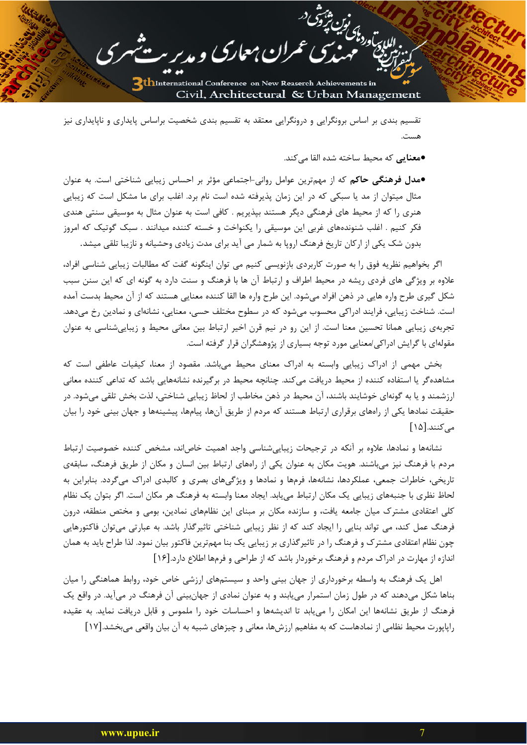تقسیم بندی بر اساس برونگرایی و درونگرایی معتقد به تقسیم بندی شخصیت براساس پایداری و ناپایداری نیز هست.

ان معارک و مدیر

●معنایی که محیط ساخته شده القا می *ک*ند.

للارتوردى<br>اللارتوردى فيل شرقتى

•مدل فرهنگی حاکم که از مهمترین عوامل روانی-اجتماعی مؤثر بر احساس زیبایی شناختی است. به عنوان مثال میتوان از مد یا سبکی که در این زمان پذیرفته شده است نام برد. اغلب برای ما مشکل است که زیبایی هنری را که از محیط های فرهنگی دیگر هستند بپذیریم . کافی است به عنوان مثال به موسیقی سنتی هندی فکر کنیم . اغلب شنوندههای غربی این موسیقی را یکنواخت و خسته کننده میدانند . سبک گوتیک که امروز بدون شک یکی از ارکان تاریخ فرهنگ اروپا به شمار می آید برای مدت زیادی وحشیانه و نازیبا تلقی میشد.

اگر بخواهیم نظریه فوق را به صورت کاربردی بازنویسی کنیم می توان اینگونه گفت که مطالبات زیبایی شناسی افراد، علاوه بر ویژگی های فردی ریشه در محیط اطراف و ارتباط آن ها با فرهنگ و سنت دارد به گونه ای که این سنن سبب شکل گیری طرح واره هایی در ذهن افراد میشود. این طرح واره ها القا کننده معنایی هستند که از آن محیط بدست آمده است. شناخت زیبایی، فرایند ادراکی محسوب میشود که در سطوح مختلف حسی، معنایی، نشانهای و نمادین رخ میدهد. تجربهی زیبایی همانا تحسین معنا است. از این رو در نیم قرن اخیر ارتباط بین معانی محیط و زیباییشناسی به عنوان مقولهای با گرایش ادراکی/معنایی مورد توجه بسیاری از پژوهشگران قرار گرفته است.

بخش مهمی از ادراک زیبایی وابسته به ادراک معنای محیط می باشد. مقصود از معنا، کیفیات عاطفی است که مشاهده گر یا استفاده کننده از محیط دریافت میکند. چنانچه محیط در برگیرنده نشانههایی باشد که تداعی کننده معانی ارزشمند و یا به گونهای خوشایند باشند، آن محیط در ذهن مخاطب از لحاظ زیبایی شناختی، لذت بخش تلقی می شود. در حقیقت نمادها یکی از راههای برقراری ارتباط هستند که مردم از طریق آنها، پیامها، پیشینهها و جهان بینی خود را بیان مے کنند.[۱۵]

نشانهها و نمادها، علاوه بر آنکه در ترجیحات زیبایی شناسی واجد اهمیت خاصاند، مشخص کننده خصوصیت ارتباط مردم با فرهنگ نیز می باشند. هویت مکان به عنوان یکی از راههای ارتباط بین انسان و مکان از طریق فرهنگ، سابقهی تاریخی، خاطرات جمعی، عملکردها، نشانهها، فرمها و نمادها و ویژگیهای بصری و کالبدی ادراک میگردد. بنابراین به لحاظ نظری با جنبههای زیبایی یک مکان ارتباط میLبابد. ایجاد معنا وابسته به فرهنگ هر مکان است. اگر بتوان یک نظام کلی اعتقادی مشترک میان جامعه یافت، و سازنده مکان بر مبنای این نظامهای نمادین، بومی و مختص منطقه، درون فرهنگ عمل کند، می تواند بنایی را ایجاد کند که از نظر زیبایی شناختی تاثیرگذار باشد. به عبارتی می توان فاکتورهایی چون نظام اعتقادی مشترک و فرهنگ را در تاثیرگذاری بر زیبایی یک بنا مهمترین فاکتور بیان نمود. لذا طراح باید به همان اندازه از مهارت در ادراک مردم و فرهنگ برخوردار باشد که از طراحی و فرمها اطلاع دارد.[۱۶]

اهل یک فرهنگ به واسطه برخورداری از جهان بینی واحد و سیستمهای ارزشی خاص خود، روابط هماهنگی را میان بناها شکل میدهند که در طول زمان استمرار می بابند و به عنوان نمادی از جهانبینی آن فرهنگ در میآید. در واقع یک فرهنگ از طریق نشانهها این امکان را می یابد تا اندیشهها و احساسات خود را ملموس و قابل دریافت نماید. به عقیده راپاپورت محیط نظامی از نمادهاست که به مفاهیم ارزشها، معانی و چیزهای شبیه به آن بیان واقعی میبخشد.[۱۷]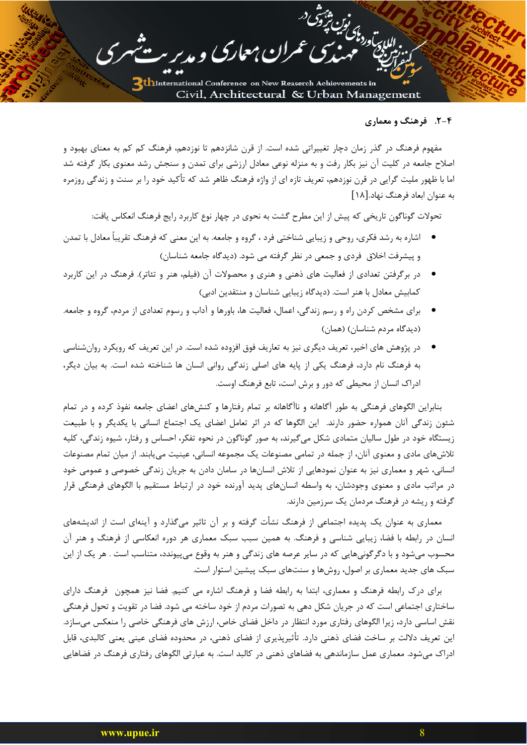## ۲-۴. فرهنگ و معماری

للإدارية المائين بشوق

مفهوم فرهنگ در گذر زمان دچار تغییراتی شده است. از قرن شانزدهم تا نوزدهم، فرهنگ کم کم به معنای بهبود و اصلاح جامعه در کلیت آن نیز بکار رفت و به منزله نوعی معادل ارزشی برای تمدن و سنجش رشد معنوی بکار گرفته شد اما با ظهور ملیت گرایی در قرن نوزدهم، تعریف تازه ای از واژه فرهنگ ظاهر شد که تأکید خود را بر سنت و زندگی روزمره به عنوان ابعاد فرهنگ نهاد.[۱۸]

ران معارک و مدیر

تحولات گوناگون تاریخی که پیش از این مطرح گشت به نحوی در چهار نوع کاربرد رایج فرهنگ انعکاس یافت:

- اشاره به رشد فكرى، روحي و زيبايي شناختي فرد ، گروه و جامعه. به اين معنى كه فرهنگ تقريباً معادل با تمدن و پیشرفت اخلاق فردی و جمعی در نظر گرفته می شود. (دیدگاه جامعه شناسان)
- در برگرفتن تعدادی از فعالیت های ذهنی و هنری و محصولات آن (فیلم، هنر و تئاتر). فرهنگ در این کاربرد كمابيش معادل با هنر است. (ديدگاه زيبايي شناسان و منتقدين ادبي)
- برای مشخص کردن راه و رسم زندگی، اعمال، فعالیت ها، باورها و آداب و رسوم تعدادی از مردم، گروه و جامعه. (دیدگاه مردم شناسان) (همان)
- در پژوهش های اخیر، تعریف دیگری نیز به تعاریف فوق افزوده شده است. در این تعریف که رویکرد روانشناسی به فرهنگ نام دارد، فرهنگ یکی از پایه های اصلی زندگی روانی انسان ها شناخته شده است. به بیان دیگر، ادراک انسان از محیطی که دور و برش است، تابع فرهنگ اوست.

بنابراین الگوهای فرهنگی به طور آگاهانه و ناآگاهانه بر تمام رفتارها و کنشهای اعضای جامعه نفوذ کرده و در تمام شئون زندگی آنان همواره حضور دارند. این الگوها که در اثر تعامل اعضای یک اجتماع انسانی با یکدیگر و با طبیعت زیستگاه خود در طول سالیان متمادی شکل میگیرند، به صور گوناگون در نحوه تفکر، احساس و رفتار، شیوه زندگی، کلیه تلاشهای مادی و معنوی آنان، از جمله در تمامی مصنوعات یک مجموعه انسانی، عینیت می یابند. از میان تمام مصنوعات انسانی، شهر و معماری نیز به عنوان نمودهایی از تلاش انسانها در سامان دادن به جریان زندگی خصوصی و عمومی خود در مراتب مادی و معنوی وجودشان، به واسطه انسانهای پدید آورنده خود در ارتباط مستقیم با الگوهای فرهنگی قرار گرفته و ریشه در فرهنگ مردمان یک سرزمین دارند.

معماری به عنوان یک پدیده اجتماعی از فرهنگ نشأت گرفته و بر آن تاثیر میگذارد و آینهای است از اندیشههای انسان در رابطه با فضا، زیبایی شناسی و فرهنگ. به همین سبب سبک معماری هر دوره انعکاسی از فرهنگ و هنر آن محسوب میشود و با دگرگونیهایی که در سایر عرصه های زندگی و هنر به وقوع میپیوندد، متناسب است . هر یک از این سبک های جدید معماری بر اصول، روشها و سنتهای سبک پیشین استوار است.

برای درک رابطه فرهنگ و معماری، ابتدا به رابطه فضا و فرهنگ اشاره می کنیم. فضا نیز همچون فرهنگ دارای ساختاری اجتماعی است که در جریان شکل دهی به تصورات مردم از خود ساخته می شود. فضا در تقویت و تحول فرهنگی نقش اساسی دارد، زیرا الگوهای رفتاری مورد انتظار در داخل فضای خاص، ارزش های فرهنگی خاصی را منعکس میسازد. این تعریف دلالت بر ساخت فضای ذهنی دارد. تأثیرپذیری از فضای ذهنی، در محدوده فضای عینی یعنی کالبدی، قابل ادراک میشود. معماری عمل سازماندهی به فضاهای ذهنی در کالبد است. به عبارتی الگوهای رفتاری فرهنگ در فضاهایی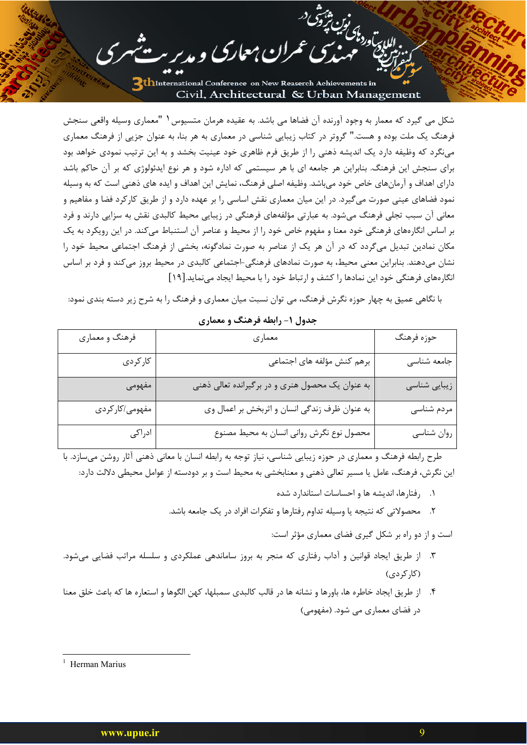مران معارک و مدیر .

للإبراد واكس مين شهر شده<br>المادي ورواك

شکل می گیرد که معمار به وجود آورنده آن فضاها می باشد. به عقیده هرمان متسیوس ( "معماری وسیله واقعی سنجش فرهنگ یک ملت بوده و هست." گروتر در کتاب زیبایی شناسی در معماری به هر بنا، به عنوان جزیی از فرهنگ معماری مینگرد که وظیفه دارد یک اندیشه ذهنی را از طریق فرم ظاهری خود عینیت بخشد و به این ترتیب نمودی خواهد بود برای سنجش این فرهنگ. بنابراین هر جامعه ای با هر سیستمی که اداره شود و هر نوع ایدئولوژی که بر آن حاکم باشد دارای اهداف و آرمانهای خاص خود میباشد. وظیفه اصلی فرهنگ، نمایش این اهداف و ایده های ذهنی است که به وسیله نمود فضاهای عینی صورت می گیرد. در این میان معماری نقش اساسی را بر عهده دارد و از طریق کارکرد فضا و مفاهیم و معانی آن سبب تجلی فرهنگ می شود. به عبارتی مؤلفههای فرهنگی در زیبایی محیط کالبدی نقش به سزایی دارند و فرد بر اساس انگارههای فرهنگی خود معنا و مفهوم خاص خود را از محیط و عناصر آن استنباط می کند. در این رویکرد به یک مکان نمادین تبدیل میگردد که در آن هر یک از عناصر به صورت نمادگونه، بخشی از فرهنگ اجتماعی محیط خود را نشان میدهند. بنابراین معنی محیط، به صورت نمادهای فرهنگی-اجتماعی کالبدی در محیط بروز میکند و فرد بر اساس انگارههای فرهنگی خود این نمادها را کشف و ارتباط خود را با محیط ایجاد می نماید.[۱۹]

با نگاهی عمیق به چهار حوزه نگرش فرهنگ، می توان نسبت میان معماری و فرهنگ را به شرح زیر دسته بندی نمود:

| فرهنگ و معماري | معماري                                           | حوزه فرهنگ   |
|----------------|--------------------------------------------------|--------------|
| كاركردى        | برهم کنش مؤلفه های اجتماعی                       | جامعه شناسى  |
| مفهومى         | به عنوان یک محصول هنری و در برگیرانده تعالی ذهنی | زیبایی شناسی |
| مفهومي/كاركردي | به عنوان ظرف زندگی انسان و اثربخش بر اعمال وی    | مردم شناسي   |
| ادراكى         | محصول نوع نگرش روانی انسان به محیط مصنوع         | روان شناسي   |

جدول ۱- رابطه فرهنگ و معماری

طرح رابطه فرهنگ و معماری در حوزه زیبایی شناسی، نیاز توجه به رابطه انسان با معانی ذهنی آثار روشن میسازد. با این نگرش، فرهنگ، عامل یا مسیر تعالی ذهنی و معنابخشی به محیط است و بر دودسته از عوامل محیطی دلالت دارد:

- ۰۱ وفتارها، اندیشه ها و احساسات استاندارد شده
- ٢. محصولاتی که نتیجه یا وسیله تداوم رفتارها و تفکرات افراد در یک جامعه باشد.

است و از دو راه بر شکل گیری فضای معماری مؤثر است:

- ۳. از طریق ایجاد قوانین و آداب رفتاری که منجر به بروز ساماندهی عملکردی و سلسله مراتب فضایی میشود. (کا<sub>ر</sub> کردی)
- ۴. از طريق ايجاد خاطره ها، باورها و نشانه ها در قالب كالبدى سمبلها، كهن الگوها و استعاره ها كه باعث خلق معنا در فضای معماری می شود. (مفهومی)

Herman Marius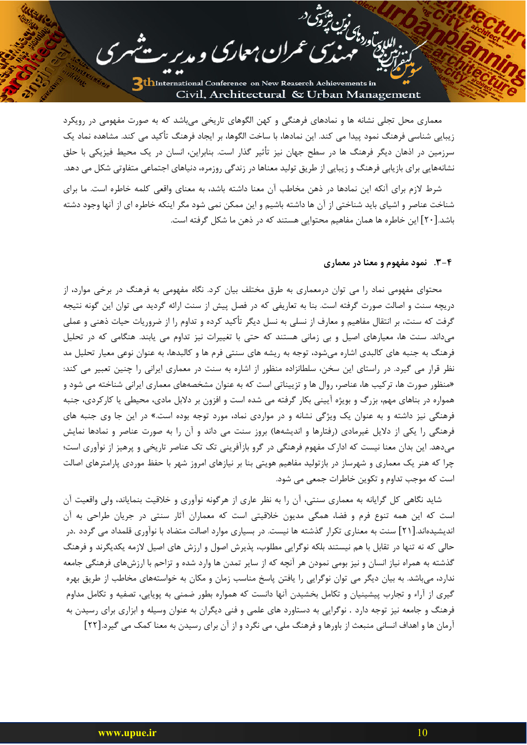للايت<br>اللايت ودناك بين ويتحق

معماری محل تجلی نشانه ها و نمادهای فرهنگی و کهن الگوهای تاریخی می باشد که به صورت مفهومی در رویکرد زیبایی شناسی فرهنگ نمود پیدا می کند. این نمادها، با ساخت الگوها، بر ایجاد فرهنگ تأکید می کند. مشاهده نماد یک سرزمین در اذهان دیگر فرهنگ ها در سطح جهان نیز تأثیر گذار است. بنابراین، انسان در یک محیط فیزیکی با حلق نشانههایی برای بازیابی فرهنگ و زیبایی از طریق تولید معناها در زندگی روزمره، دنیاهای اجتماعی متفاوتی شکل می دهد.

مران معارک و مدیر سر

شرط لازم برای آنکه این نمادها در ذهن مخاطب آن معنا داشته باشد، به معنای واقعی کلمه خاطره است. ما برای شناخت عناصر و اشیای باید شناختی از آن ها داشته باشیم و این ممکن نمی شود مگر اینکه خاطره ای از آنها وجود دشته باشد.[۲۰] این خاطره ها همان مفاهیم محتوایی هستند که در ذهن ما شکل گرفته است.

#### ۴-۳. نمود مفهوم و معنا در معماری

محتوای مفهومی نماد را می توان درمعماری به طرق مختلف بیان کرد. نگاه مفهومی به فرهنگ در برخی موارد، از دریچه سنت و اصالت صورت گرفته است. بنا به تعاریفی که در فصل پیش از سنت ارائه گردید می توان این گونه نتیجه گرفت که سنت، بر انتقال مفاهیم و معارف از نسلی به نسل دیگر تأکید کرده و تداوم را از ضروریات حیات ذهنی و عملی میداند. سنت ها، معیارهای اصیل و بی زمانی هستند که حتی با تغییرات نیز تداوم می یابند. هنگامی که در تحلیل فرهنگ به جنبه های کالبدی اشاره میشود، توجه به ریشه های سنتی فرم ها و کالبدها، به عنوان نوعی معیار تحلیل مد نظر قرار می گیرد. در راستای این سخن، سلطانزاده منظور از اشاره به سنت در معماری ایرانی را چنین تعبیر می کند: «منظور صورت ها، ترکیب ها، عناصر، روال ها و تزییناتی است که به عنوان مشخصههای معماری ایرانی شناخته می شود و همواره در بناهای مهم، بزرگ و بویژه آیینی بکار گرفته می شده است و افزون بر دلابل مادی، محیطی یا کارکردی، جنبه فرهنگی نیز داشته و به عنوان یک ویژگی نشانه و در مواردی نماد، مورد توجه بوده است.» در این جا وی جنبه های فرهنگی را یکی از دلایل غیرمادی (رفتارها و اندیشهها) بروز سنت می داند و آن را به صورت عناصر و نمادها نمایش میدهد. این بدان معنا نیست که ادارک مفهوم فرهنگی در گرو بازآفرینی تک تک عناصر تاریخی و پرهیز از نوآوری است؛ چرا که هنر یک معماری و شهرساز در بازتولید مفاهیم هویتی بنا بر نیازهای امروز شهر با حفظ موردی پارامترهای اصالت است که موجب تداوم و تکوین خاطرات جمعی می شود.

شاید نگاهی کل گرایانه به معماری سنتی، آن را به نظر عاری از هرگونه نوآوری و خلاقیت بنمایاند، ولی واقعیت آن است که این همه تنوع فرم و فضا، همگی مدیون خلاقیتی است که معماران آثار سنتی در جریان طراحی به آن اندیشیدهاند.[۲۱] سنت به معناری تکرار گذشته ها نیست. در بسیاری موارد اصالت متضاد با نوآوری قلمداد می گردد .در حالی که نه تنها در تقابل با هم نیستند بلکه نوگرایی مطلوب، پذیرش اصول و ارزش های اصیل لازمه یکدیگرند و فرهنگ گذشته به همراه نیاز انسان و نیز بومی نمودن هر آنچه که از سایر تمدن ها وارد شده و تزاحم با ارزشهای فرهنگی جامعه ندارد، میباشد. به بیان دیگر می توان نوگرایی را یافتن پاسخ مناسب زمان و مکان به خواستههای مخاطب از طریق بهره گیری از آراء و تجارب پیشینیان و تکامل بخشیدن آنها دانست که همواره بطور ضمنی به پویایی، تصفیه و تکامل مداوم فرهنگ و جامعه نیز توجه دارد . نوگرایی به دستاورد های علمی و فنی دیگران به عنوان وسیله و ابزاری برای رسیدن به آرمان ها و اهداف انسانی منبعث از باورها و فرهنگ ملی، می نگرد و از آن برای رسیدن به معنا کمک می گیرد.[۲۲]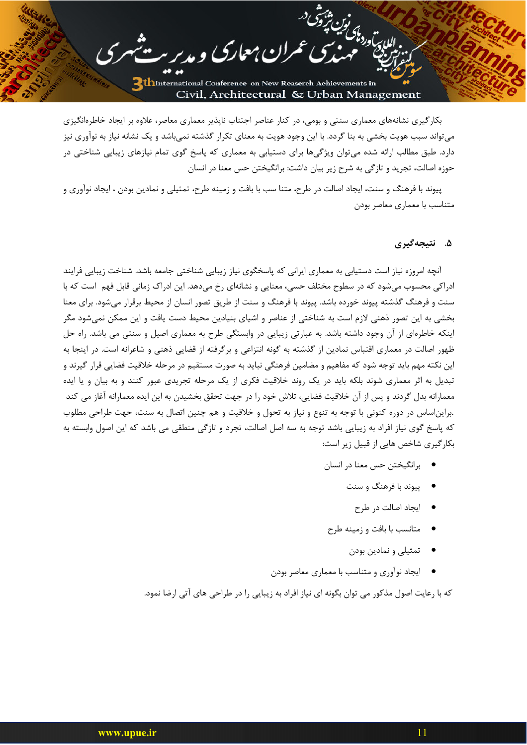للباد بتوراك في المركز<br>اللباد بالورد باك في المركز

بکار گیری نشانههای معماری سنتی و بومی، در کنار عناصر اجتناب ناپذیر معماری معاصر، علاوه بر ایجاد خاطرهانگیزی میتواند سبب هویت بخشی به بنا گردد. با این وجود هویت به معنای تکرار گذشته نمیباشد و یک نشانه نیاز به نوآوری نیز دارد. طبق مطالب ارائه شده می توان ویژگیها برای دستیابی به معماری که پاسخ گوی تمام نیازهای زیبایی شناختی در حوزه اصالت، تجرید و تازگی به شرح زیر بیان داشت: برانگیختن حس معنا در انسان

مران معارک و مدیر س

پیوند با فرهنگ و سنت، ایجاد اصالت در طرح، متنا سب با بافت و زمینه طرح، تمثیلی و نمادین بودن ، ایجاد نوآوری و متناسب با معماری معاصر بودن

## ۵. نتىجەگىرى

آنچه امروزه نیاز است دستیابی به معماری ایرانی که پاسخگوی نیاز زیبایی شناختی جامعه باشد. شناخت زیبایی فرایند ادراکی محسوب می شود که در سطوح مختلف حسی، معنایی و نشانهای رخ می دهد. این ادراک زمانی قابل فهم است که با سنت و فرهنگ گذشته پیوند خورده باشد. پیوند با فرهنگ و سنت از طریق تصور انسان از محیط برقرار میشود. برای معنا بخشی به این تصور ذهنی لازم است به شناختی از عناصر و اشیای بنیادین محیط دست یافت و این ممکن نمیشود مگر اینکه خاطرهای از آن وجود داشته باشد. به عبارتی زیبایی در وابستگی طرح به معماری اصیل و سنتی می باشد. راه حل ظهور اصالت در معماری اقتباس نمادین از گذشته به گونه انتزاعی و برگرفته از قضایی ذهنی و شاعرانه است. در اینجا به این نکته مهم باید توجه شود که مفاهیم و مضامین فرهنگی نباید به صورت مستقیم در مرحله خلاقیت فضایی قرار گیرند و تبدیل به اثر معماری شوند بلکه باید در یک روند خلاقیت فکری از یک مرحله تجریدی عبور کنند و به بیان و یا ایده معمارانه بدل گردند و پس از آن خلاقیت فضایی، تلاش خود را در جهت تحقق بخشیدن به این ایده معمارانه آغاز می کند .برایناساس در دوره کنونی با توجه به تنوع و نیاز به تحول و خلاقیت و هم چنین اتصال به سنت، جهت طراحی مطلوب که پاسخ گوی نیاز افراد به زیبایی باشد توجه به سه اصل اصالت، تجرد و تازگی منطقی می باشد که این اصول وابسته به بکار گیری شاخص هایی از قبیل زیر است:

- برانگیختن حس معنا در انسان
	- ييوند با فرهنگ و سنت
		- ایجاد اصالت د<sub>ر</sub> طرح
- متانسب با بافت و زمينه طرح
	- تمثیلی و نمادین بودن
- ایجاد نوآوری و متناسب با معماری معاصر بودن

که با رعایت اصول مذکور می توان بگونه ای نیاز افراد به زیبایی را در طراحی های آتی ارضا نمود.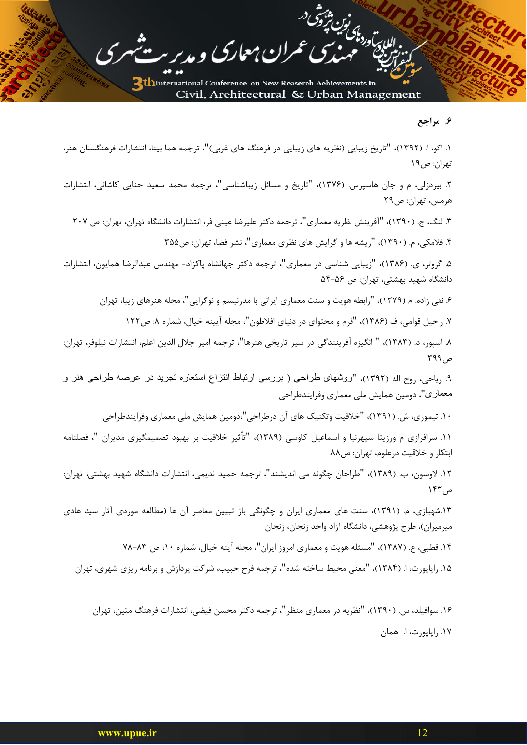اللايت<br>اللايت وردامى كميت بينوتنى د<br>المددامي

## ۶. مراجع

۱. اکو، ا. (۱۳۹۲)، "تاریخ زیبایی (نظریه های زیبایی در فرهنگ های غربی)"، ترجمه هما بینا، انتشارات فرهنگستان هنر، تهران: ص۱۹

فمران معاري

۲. بیردزلی، م و جان هاسپرس. (۱۳۷۶)، "تاریخ و مسائل زیباشناسی"، ترجمه محمد سعید حنایی کاشانی، انتشارات هرمس، تهران: ص٢٩

۳. لنگ، ج. (۱۳۹۰)، "آفرینش نظریه معماری"، ترجمه دکتر علیرضا عینی فر، انتشارات دانشگاه تهران، تهران: ص ۲۰۷ ۴. فلامکی، م. (۱۳۹۰)، "ریشه ها و گرایش های نظری معماری"، نشر فضا، تهران: ص۳۵۵

۵. گروتر، ی. (۱۳۸۶)، "زیبایی شناسی در معماری"، ترجمه دکتر جهانشاه پاکزاد- مهندس عبدالرضا همایون، انتشارات دانشگاه شهید بهشتی، تهران: ص ۵۶-۵۴

۶. نقی زاده. م (۱۳۷۹)، "رابطه هویت و سنت معماری ایرانی با مدرنیسم و نوگرایی"، مجله هنرهای زیبا، تهران

۷. راحیل قوامی، ف (۱۳۸۶)، "فرم و محتوای در دنیای افلاطون"، مجله آیینه خیال، شماره ۸: ص۱۲۲

٨. اسپور، د. (١٣٨٣)، " انگيزه آفرينندگي در سير تاريخي هنرها"، ترجمه امير جلال الدين اعلم، انتشارات نيلوفر، تهران: ص ۳۹۹

۹. <sub>ر</sub>یاحی، <sub>ر</sub>وح اله (۱۳۹۲)، "روشهای طراحی ( بررسی ارتباط انتزاع استعاره تجرید در عرصه طراحی هنر و معماري"، دومين همايش ملي معماري وفرايندطراحي

۱۰. تیموری، ش. (۱۳۹۱)، "خلاقیت وتکنیک های آن درطراحی"،دومین همایش ملی معماری وفرایندطراحی

۱۱. سرافرازی م ورزیتا سپهرنیا و اسماعیل کاوسی (۱۳۸۹)، "تأثیر خلاقیت بر بهبود تصمیمگیری مدیران "، فصلنامه ابتکار و خلاقیت درعلوم، تهران: ص۸۸

١٢. لاوسون، ب. (١٣٨٩)، "طراحان چگونه مي انديشند"، ترجمه حميد نديمي، انتشارات دانشگاه شهيد بهشتي، تهران: ص ۱۴۳

۱۳.شهبازی، م. (۱۳۹۱)، سنت های معماری ایران و چگونگی باز تبیین معاصر آن ها (مطالعه موردی آثار سید هادی میرمیران)، طرح پژوهشی، دانشگاه آزاد واحد زنجان، زنجان

۱۴. قطبی، ع. (۱۳۸۷)، "مسئله هویت و معماری امروز ایران"، مجله آینه خیال، شماره ۱۰، ص ۸۳-۷۸

۱۵. راپاپورت، ا. (۱۳۸۴)، "معنی محیط ساخته شده"، ترجمه فرح حبیب، شرکت پردازش و برنامه ریزی شهری، تهران

۱۶. سوافیلد، س. (۱۳۹۰)، "نظریه در معماری منظر"، ترجمه دکتر محسن فیضی، انتشارات فرهنگ متین، تهران ١٧. رايايورت، ا. همان